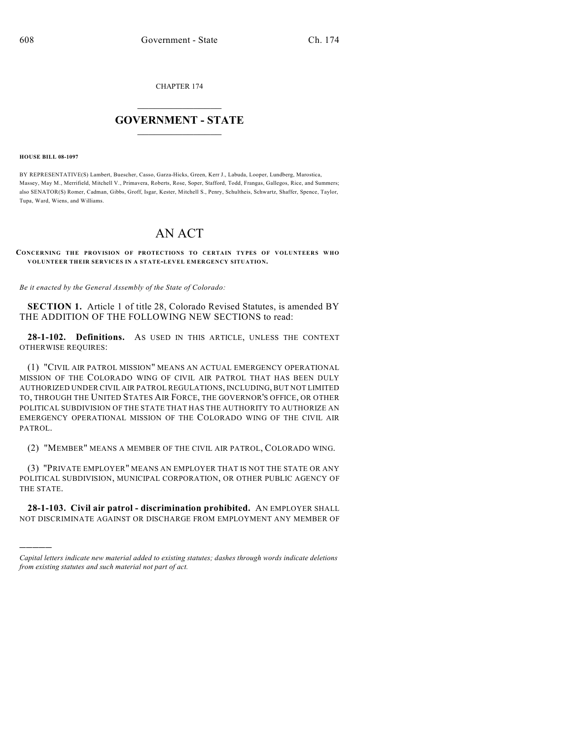CHAPTER 174

## $\mathcal{L}_\text{max}$  . The set of the set of the set of the set of the set of the set of the set of the set of the set of the set of the set of the set of the set of the set of the set of the set of the set of the set of the set **GOVERNMENT - STATE**  $\_$   $\_$   $\_$   $\_$   $\_$   $\_$   $\_$   $\_$   $\_$

**HOUSE BILL 08-1097**

)))))

BY REPRESENTATIVE(S) Lambert, Buescher, Casso, Garza-Hicks, Green, Kerr J., Labuda, Looper, Lundberg, Marostica, Massey, May M., Merrifield, Mitchell V., Primavera, Roberts, Rose, Soper, Stafford, Todd, Frangas, Gallegos, Rice, and Summers; also SENATOR(S) Romer, Cadman, Gibbs, Groff, Isgar, Kester, Mitchell S., Penry, Schultheis, Schwartz, Shaffer, Spence, Taylor, Tupa, Ward, Wiens, and Williams.

## AN ACT

## **CONCERNING THE PROVISION OF PROTECTIONS TO CERTAIN TYPES OF VOLUNTEERS WHO VOLUNTEER THEIR SERVICES IN A STATE-LEVEL EMERGENCY SITUATION.**

*Be it enacted by the General Assembly of the State of Colorado:*

**SECTION 1.** Article 1 of title 28, Colorado Revised Statutes, is amended BY THE ADDITION OF THE FOLLOWING NEW SECTIONS to read:

**28-1-102. Definitions.** AS USED IN THIS ARTICLE, UNLESS THE CONTEXT OTHERWISE REQUIRES:

(1) "CIVIL AIR PATROL MISSION" MEANS AN ACTUAL EMERGENCY OPERATIONAL MISSION OF THE COLORADO WING OF CIVIL AIR PATROL THAT HAS BEEN DULY AUTHORIZED UNDER CIVIL AIR PATROL REGULATIONS, INCLUDING, BUT NOT LIMITED TO, THROUGH THE UNITED STATES AIR FORCE, THE GOVERNOR'S OFFICE, OR OTHER POLITICAL SUBDIVISION OF THE STATE THAT HAS THE AUTHORITY TO AUTHORIZE AN EMERGENCY OPERATIONAL MISSION OF THE COLORADO WING OF THE CIVIL AIR PATROL.

(2) "MEMBER" MEANS A MEMBER OF THE CIVIL AIR PATROL, COLORADO WING.

(3) "PRIVATE EMPLOYER" MEANS AN EMPLOYER THAT IS NOT THE STATE OR ANY POLITICAL SUBDIVISION, MUNICIPAL CORPORATION, OR OTHER PUBLIC AGENCY OF THE STATE.

**28-1-103. Civil air patrol - discrimination prohibited.** AN EMPLOYER SHALL NOT DISCRIMINATE AGAINST OR DISCHARGE FROM EMPLOYMENT ANY MEMBER OF

*Capital letters indicate new material added to existing statutes; dashes through words indicate deletions from existing statutes and such material not part of act.*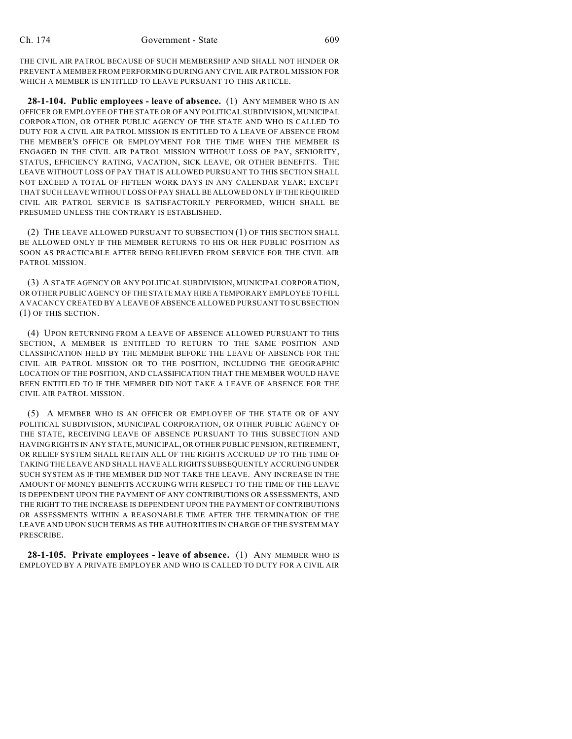THE CIVIL AIR PATROL BECAUSE OF SUCH MEMBERSHIP AND SHALL NOT HINDER OR PREVENT A MEMBER FROM PERFORMING DURING ANY CIVIL AIR PATROL MISSION FOR WHICH A MEMBER IS ENTITLED TO LEAVE PURSUANT TO THIS ARTICLE.

**28-1-104. Public employees - leave of absence.** (1) ANY MEMBER WHO IS AN OFFICER OR EMPLOYEE OF THE STATE OR OF ANY POLITICAL SUBDIVISION, MUNICIPAL CORPORATION, OR OTHER PUBLIC AGENCY OF THE STATE AND WHO IS CALLED TO DUTY FOR A CIVIL AIR PATROL MISSION IS ENTITLED TO A LEAVE OF ABSENCE FROM THE MEMBER'S OFFICE OR EMPLOYMENT FOR THE TIME WHEN THE MEMBER IS ENGAGED IN THE CIVIL AIR PATROL MISSION WITHOUT LOSS OF PAY, SENIORITY, STATUS, EFFICIENCY RATING, VACATION, SICK LEAVE, OR OTHER BENEFITS. THE LEAVE WITHOUT LOSS OF PAY THAT IS ALLOWED PURSUANT TO THIS SECTION SHALL NOT EXCEED A TOTAL OF FIFTEEN WORK DAYS IN ANY CALENDAR YEAR; EXCEPT THAT SUCH LEAVE WITHOUT LOSS OF PAY SHALL BE ALLOWED ONLY IF THE REQUIRED CIVIL AIR PATROL SERVICE IS SATISFACTORILY PERFORMED, WHICH SHALL BE PRESUMED UNLESS THE CONTRARY IS ESTABLISHED.

(2) THE LEAVE ALLOWED PURSUANT TO SUBSECTION (1) OF THIS SECTION SHALL BE ALLOWED ONLY IF THE MEMBER RETURNS TO HIS OR HER PUBLIC POSITION AS SOON AS PRACTICABLE AFTER BEING RELIEVED FROM SERVICE FOR THE CIVIL AIR PATROL MISSION.

(3) A STATE AGENCY OR ANY POLITICAL SUBDIVISION, MUNICIPAL CORPORATION, OR OTHER PUBLIC AGENCY OF THE STATE MAY HIRE A TEMPORARY EMPLOYEE TO FILL A VACANCY CREATED BY A LEAVE OF ABSENCE ALLOWED PURSUANT TO SUBSECTION (1) OF THIS SECTION.

(4) UPON RETURNING FROM A LEAVE OF ABSENCE ALLOWED PURSUANT TO THIS SECTION, A MEMBER IS ENTITLED TO RETURN TO THE SAME POSITION AND CLASSIFICATION HELD BY THE MEMBER BEFORE THE LEAVE OF ABSENCE FOR THE CIVIL AIR PATROL MISSION OR TO THE POSITION, INCLUDING THE GEOGRAPHIC LOCATION OF THE POSITION, AND CLASSIFICATION THAT THE MEMBER WOULD HAVE BEEN ENTITLED TO IF THE MEMBER DID NOT TAKE A LEAVE OF ABSENCE FOR THE CIVIL AIR PATROL MISSION.

(5) A MEMBER WHO IS AN OFFICER OR EMPLOYEE OF THE STATE OR OF ANY POLITICAL SUBDIVISION, MUNICIPAL CORPORATION, OR OTHER PUBLIC AGENCY OF THE STATE, RECEIVING LEAVE OF ABSENCE PURSUANT TO THIS SUBSECTION AND HAVING RIGHTS IN ANY STATE, MUNICIPAL, OR OTHER PUBLIC PENSION, RETIREMENT, OR RELIEF SYSTEM SHALL RETAIN ALL OF THE RIGHTS ACCRUED UP TO THE TIME OF TAKING THE LEAVE AND SHALL HAVE ALL RIGHTS SUBSEQUENTLY ACCRUING UNDER SUCH SYSTEM AS IF THE MEMBER DID NOT TAKE THE LEAVE. ANY INCREASE IN THE AMOUNT OF MONEY BENEFITS ACCRUING WITH RESPECT TO THE TIME OF THE LEAVE IS DEPENDENT UPON THE PAYMENT OF ANY CONTRIBUTIONS OR ASSESSMENTS, AND THE RIGHT TO THE INCREASE IS DEPENDENT UPON THE PAYMENT OF CONTRIBUTIONS OR ASSESSMENTS WITHIN A REASONABLE TIME AFTER THE TERMINATION OF THE LEAVE AND UPON SUCH TERMS AS THE AUTHORITIES IN CHARGE OF THE SYSTEM MAY PRESCRIBE.

**28-1-105. Private employees - leave of absence.** (1) ANY MEMBER WHO IS EMPLOYED BY A PRIVATE EMPLOYER AND WHO IS CALLED TO DUTY FOR A CIVIL AIR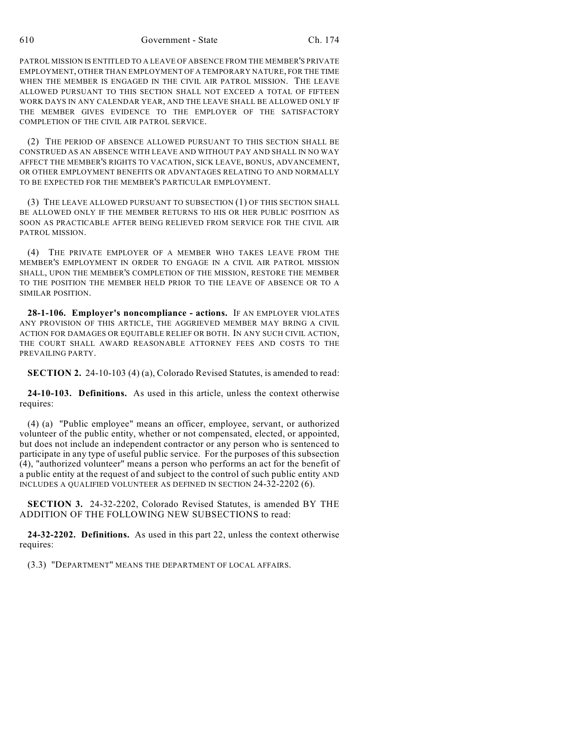610 Government - State Ch. 174

PATROL MISSION IS ENTITLED TO A LEAVE OF ABSENCE FROM THE MEMBER'S PRIVATE EMPLOYMENT, OTHER THAN EMPLOYMENT OF A TEMPORARY NATURE, FOR THE TIME WHEN THE MEMBER IS ENGAGED IN THE CIVIL AIR PATROL MISSION. THE LEAVE ALLOWED PURSUANT TO THIS SECTION SHALL NOT EXCEED A TOTAL OF FIFTEEN WORK DAYS IN ANY CALENDAR YEAR, AND THE LEAVE SHALL BE ALLOWED ONLY IF THE MEMBER GIVES EVIDENCE TO THE EMPLOYER OF THE SATISFACTORY COMPLETION OF THE CIVIL AIR PATROL SERVICE.

(2) THE PERIOD OF ABSENCE ALLOWED PURSUANT TO THIS SECTION SHALL BE CONSTRUED AS AN ABSENCE WITH LEAVE AND WITHOUT PAY AND SHALL IN NO WAY AFFECT THE MEMBER'S RIGHTS TO VACATION, SICK LEAVE, BONUS, ADVANCEMENT, OR OTHER EMPLOYMENT BENEFITS OR ADVANTAGES RELATING TO AND NORMALLY TO BE EXPECTED FOR THE MEMBER'S PARTICULAR EMPLOYMENT.

(3) THE LEAVE ALLOWED PURSUANT TO SUBSECTION (1) OF THIS SECTION SHALL BE ALLOWED ONLY IF THE MEMBER RETURNS TO HIS OR HER PUBLIC POSITION AS SOON AS PRACTICABLE AFTER BEING RELIEVED FROM SERVICE FOR THE CIVIL AIR PATROL MISSION.

(4) THE PRIVATE EMPLOYER OF A MEMBER WHO TAKES LEAVE FROM THE MEMBER'S EMPLOYMENT IN ORDER TO ENGAGE IN A CIVIL AIR PATROL MISSION SHALL, UPON THE MEMBER'S COMPLETION OF THE MISSION, RESTORE THE MEMBER TO THE POSITION THE MEMBER HELD PRIOR TO THE LEAVE OF ABSENCE OR TO A SIMILAR POSITION.

**28-1-106. Employer's noncompliance - actions.** IF AN EMPLOYER VIOLATES ANY PROVISION OF THIS ARTICLE, THE AGGRIEVED MEMBER MAY BRING A CIVIL ACTION FOR DAMAGES OR EQUITABLE RELIEF OR BOTH. IN ANY SUCH CIVIL ACTION, THE COURT SHALL AWARD REASONABLE ATTORNEY FEES AND COSTS TO THE PREVAILING PARTY.

**SECTION 2.** 24-10-103 (4) (a), Colorado Revised Statutes, is amended to read:

**24-10-103. Definitions.** As used in this article, unless the context otherwise requires:

(4) (a) "Public employee" means an officer, employee, servant, or authorized volunteer of the public entity, whether or not compensated, elected, or appointed, but does not include an independent contractor or any person who is sentenced to participate in any type of useful public service. For the purposes of this subsection (4), "authorized volunteer" means a person who performs an act for the benefit of a public entity at the request of and subject to the control of such public entity AND INCLUDES A QUALIFIED VOLUNTEER AS DEFINED IN SECTION 24-32-2202 (6).

**SECTION 3.** 24-32-2202, Colorado Revised Statutes, is amended BY THE ADDITION OF THE FOLLOWING NEW SUBSECTIONS to read:

**24-32-2202. Definitions.** As used in this part 22, unless the context otherwise requires:

(3.3) "DEPARTMENT" MEANS THE DEPARTMENT OF LOCAL AFFAIRS.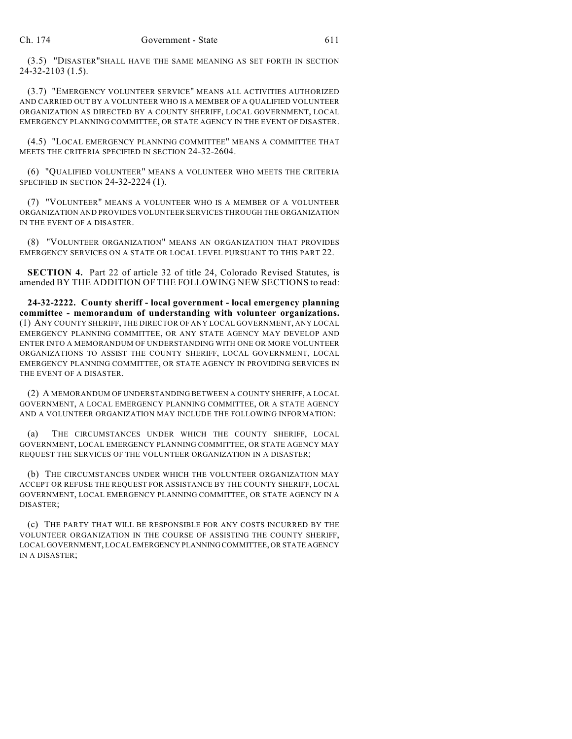(3.5) "DISASTER"SHALL HAVE THE SAME MEANING AS SET FORTH IN SECTION 24-32-2103 (1.5).

(3.7) "EMERGENCY VOLUNTEER SERVICE" MEANS ALL ACTIVITIES AUTHORIZED AND CARRIED OUT BY A VOLUNTEER WHO IS A MEMBER OF A QUALIFIED VOLUNTEER ORGANIZATION AS DIRECTED BY A COUNTY SHERIFF, LOCAL GOVERNMENT, LOCAL EMERGENCY PLANNING COMMITTEE, OR STATE AGENCY IN THE EVENT OF DISASTER.

(4.5) "LOCAL EMERGENCY PLANNING COMMITTEE" MEANS A COMMITTEE THAT MEETS THE CRITERIA SPECIFIED IN SECTION 24-32-2604.

(6) "QUALIFIED VOLUNTEER" MEANS A VOLUNTEER WHO MEETS THE CRITERIA SPECIFIED IN SECTION 24-32-2224 (1).

(7) "VOLUNTEER" MEANS A VOLUNTEER WHO IS A MEMBER OF A VOLUNTEER ORGANIZATION AND PROVIDES VOLUNTEER SERVICES THROUGH THE ORGANIZATION IN THE EVENT OF A DISASTER.

(8) "VOLUNTEER ORGANIZATION" MEANS AN ORGANIZATION THAT PROVIDES EMERGENCY SERVICES ON A STATE OR LOCAL LEVEL PURSUANT TO THIS PART 22.

**SECTION 4.** Part 22 of article 32 of title 24, Colorado Revised Statutes, is amended BY THE ADDITION OF THE FOLLOWING NEW SECTIONS to read:

**24-32-2222. County sheriff - local government - local emergency planning committee - memorandum of understanding with volunteer organizations.** (1) ANY COUNTY SHERIFF, THE DIRECTOR OF ANY LOCAL GOVERNMENT, ANY LOCAL EMERGENCY PLANNING COMMITTEE, OR ANY STATE AGENCY MAY DEVELOP AND ENTER INTO A MEMORANDUM OF UNDERSTANDING WITH ONE OR MORE VOLUNTEER ORGANIZATIONS TO ASSIST THE COUNTY SHERIFF, LOCAL GOVERNMENT, LOCAL EMERGENCY PLANNING COMMITTEE, OR STATE AGENCY IN PROVIDING SERVICES IN THE EVENT OF A DISASTER.

(2) A MEMORANDUM OF UNDERSTANDING BETWEEN A COUNTY SHERIFF, A LOCAL GOVERNMENT, A LOCAL EMERGENCY PLANNING COMMITTEE, OR A STATE AGENCY AND A VOLUNTEER ORGANIZATION MAY INCLUDE THE FOLLOWING INFORMATION:

(a) THE CIRCUMSTANCES UNDER WHICH THE COUNTY SHERIFF, LOCAL GOVERNMENT, LOCAL EMERGENCY PLANNING COMMITTEE, OR STATE AGENCY MAY REQUEST THE SERVICES OF THE VOLUNTEER ORGANIZATION IN A DISASTER;

(b) THE CIRCUMSTANCES UNDER WHICH THE VOLUNTEER ORGANIZATION MAY ACCEPT OR REFUSE THE REQUEST FOR ASSISTANCE BY THE COUNTY SHERIFF, LOCAL GOVERNMENT, LOCAL EMERGENCY PLANNING COMMITTEE, OR STATE AGENCY IN A DISASTER;

(c) THE PARTY THAT WILL BE RESPONSIBLE FOR ANY COSTS INCURRED BY THE VOLUNTEER ORGANIZATION IN THE COURSE OF ASSISTING THE COUNTY SHERIFF, LOCAL GOVERNMENT, LOCAL EMERGENCY PLANNING COMMITTEE, OR STATE AGENCY IN A DISASTER;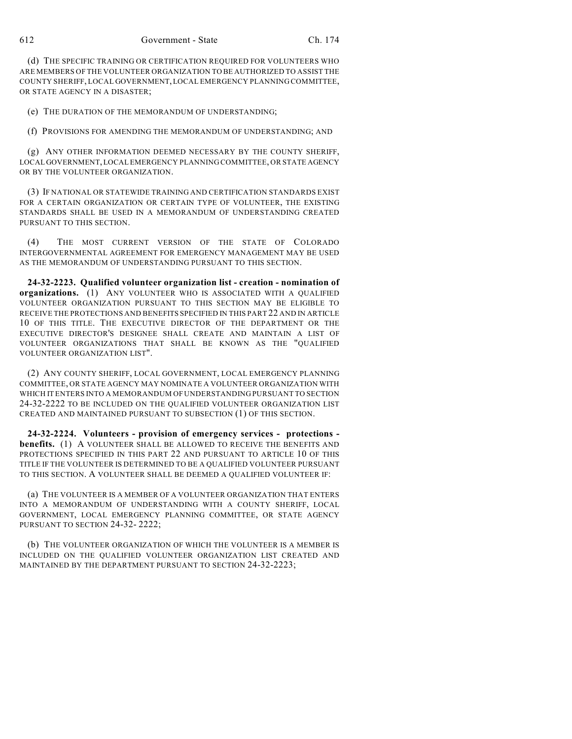(d) THE SPECIFIC TRAINING OR CERTIFICATION REQUIRED FOR VOLUNTEERS WHO ARE MEMBERS OF THE VOLUNTEER ORGANIZATION TO BE AUTHORIZED TO ASSIST THE COUNTY SHERIFF, LOCAL GOVERNMENT, LOCAL EMERGENCY PLANNING COMMITTEE, OR STATE AGENCY IN A DISASTER;

(e) THE DURATION OF THE MEMORANDUM OF UNDERSTANDING;

(f) PROVISIONS FOR AMENDING THE MEMORANDUM OF UNDERSTANDING; AND

(g) ANY OTHER INFORMATION DEEMED NECESSARY BY THE COUNTY SHERIFF, LOCAL GOVERNMENT, LOCAL EMERGENCY PLANNING COMMITTEE, OR STATE AGENCY OR BY THE VOLUNTEER ORGANIZATION.

(3) IF NATIONAL OR STATEWIDE TRAINING AND CERTIFICATION STANDARDS EXIST FOR A CERTAIN ORGANIZATION OR CERTAIN TYPE OF VOLUNTEER, THE EXISTING STANDARDS SHALL BE USED IN A MEMORANDUM OF UNDERSTANDING CREATED PURSUANT TO THIS SECTION.

(4) THE MOST CURRENT VERSION OF THE STATE OF COLORADO INTERGOVERNMENTAL AGREEMENT FOR EMERGENCY MANAGEMENT MAY BE USED AS THE MEMORANDUM OF UNDERSTANDING PURSUANT TO THIS SECTION.

**24-32-2223. Qualified volunteer organization list - creation - nomination of organizations.** (1) ANY VOLUNTEER WHO IS ASSOCIATED WITH A QUALIFIED VOLUNTEER ORGANIZATION PURSUANT TO THIS SECTION MAY BE ELIGIBLE TO RECEIVE THE PROTECTIONS AND BENEFITS SPECIFIED IN THIS PART 22 AND IN ARTICLE 10 OF THIS TITLE. THE EXECUTIVE DIRECTOR OF THE DEPARTMENT OR THE EXECUTIVE DIRECTOR'S DESIGNEE SHALL CREATE AND MAINTAIN A LIST OF VOLUNTEER ORGANIZATIONS THAT SHALL BE KNOWN AS THE "QUALIFIED VOLUNTEER ORGANIZATION LIST".

(2) ANY COUNTY SHERIFF, LOCAL GOVERNMENT, LOCAL EMERGENCY PLANNING COMMITTEE, OR STATE AGENCY MAY NOMINATE A VOLUNTEER ORGANIZATION WITH WHICH IT ENTERS INTO A MEMORANDUM OF UNDERSTANDING PURSUANT TO SECTION 24-32-2222 TO BE INCLUDED ON THE QUALIFIED VOLUNTEER ORGANIZATION LIST CREATED AND MAINTAINED PURSUANT TO SUBSECTION (1) OF THIS SECTION.

**24-32-2224. Volunteers - provision of emergency services - protections benefits.** (1) A VOLUNTEER SHALL BE ALLOWED TO RECEIVE THE BENEFITS AND PROTECTIONS SPECIFIED IN THIS PART 22 AND PURSUANT TO ARTICLE 10 OF THIS TITLE IF THE VOLUNTEER IS DETERMINED TO BE A QUALIFIED VOLUNTEER PURSUANT TO THIS SECTION. A VOLUNTEER SHALL BE DEEMED A QUALIFIED VOLUNTEER IF:

(a) THE VOLUNTEER IS A MEMBER OF A VOLUNTEER ORGANIZATION THAT ENTERS INTO A MEMORANDUM OF UNDERSTANDING WITH A COUNTY SHERIFF, LOCAL GOVERNMENT, LOCAL EMERGENCY PLANNING COMMITTEE, OR STATE AGENCY PURSUANT TO SECTION 24-32- 2222;

(b) THE VOLUNTEER ORGANIZATION OF WHICH THE VOLUNTEER IS A MEMBER IS INCLUDED ON THE QUALIFIED VOLUNTEER ORGANIZATION LIST CREATED AND MAINTAINED BY THE DEPARTMENT PURSUANT TO SECTION 24-32-2223;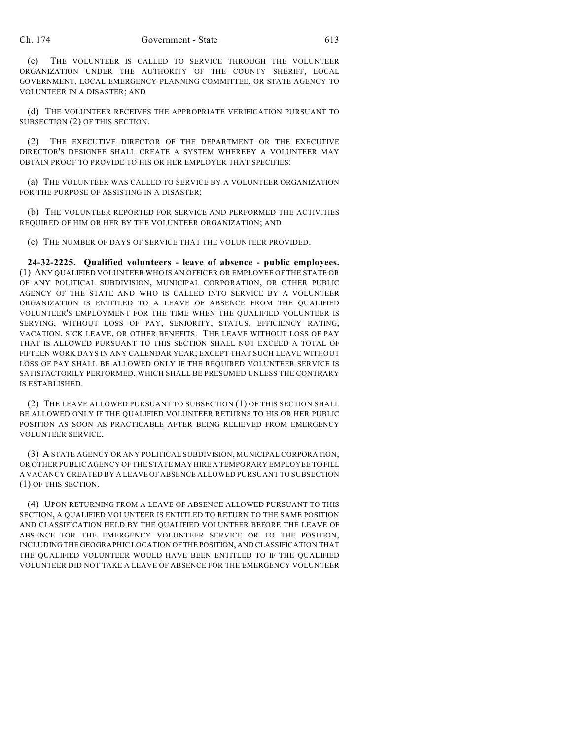(c) THE VOLUNTEER IS CALLED TO SERVICE THROUGH THE VOLUNTEER ORGANIZATION UNDER THE AUTHORITY OF THE COUNTY SHERIFF, LOCAL GOVERNMENT, LOCAL EMERGENCY PLANNING COMMITTEE, OR STATE AGENCY TO VOLUNTEER IN A DISASTER; AND

(d) THE VOLUNTEER RECEIVES THE APPROPRIATE VERIFICATION PURSUANT TO SUBSECTION (2) OF THIS SECTION.

(2) THE EXECUTIVE DIRECTOR OF THE DEPARTMENT OR THE EXECUTIVE DIRECTOR'S DESIGNEE SHALL CREATE A SYSTEM WHEREBY A VOLUNTEER MAY OBTAIN PROOF TO PROVIDE TO HIS OR HER EMPLOYER THAT SPECIFIES:

(a) THE VOLUNTEER WAS CALLED TO SERVICE BY A VOLUNTEER ORGANIZATION FOR THE PURPOSE OF ASSISTING IN A DISASTER;

(b) THE VOLUNTEER REPORTED FOR SERVICE AND PERFORMED THE ACTIVITIES REQUIRED OF HIM OR HER BY THE VOLUNTEER ORGANIZATION; AND

(c) THE NUMBER OF DAYS OF SERVICE THAT THE VOLUNTEER PROVIDED.

**24-32-2225. Qualified volunteers - leave of absence - public employees.** (1) ANY QUALIFIED VOLUNTEER WHO IS AN OFFICER OR EMPLOYEE OF THE STATE OR OF ANY POLITICAL SUBDIVISION, MUNICIPAL CORPORATION, OR OTHER PUBLIC AGENCY OF THE STATE AND WHO IS CALLED INTO SERVICE BY A VOLUNTEER ORGANIZATION IS ENTITLED TO A LEAVE OF ABSENCE FROM THE QUALIFIED VOLUNTEER'S EMPLOYMENT FOR THE TIME WHEN THE QUALIFIED VOLUNTEER IS SERVING, WITHOUT LOSS OF PAY, SENIORITY, STATUS, EFFICIENCY RATING, VACATION, SICK LEAVE, OR OTHER BENEFITS. THE LEAVE WITHOUT LOSS OF PAY THAT IS ALLOWED PURSUANT TO THIS SECTION SHALL NOT EXCEED A TOTAL OF FIFTEEN WORK DAYS IN ANY CALENDAR YEAR; EXCEPT THAT SUCH LEAVE WITHOUT LOSS OF PAY SHALL BE ALLOWED ONLY IF THE REQUIRED VOLUNTEER SERVICE IS SATISFACTORILY PERFORMED, WHICH SHALL BE PRESUMED UNLESS THE CONTRARY IS ESTABLISHED.

(2) THE LEAVE ALLOWED PURSUANT TO SUBSECTION (1) OF THIS SECTION SHALL BE ALLOWED ONLY IF THE QUALIFIED VOLUNTEER RETURNS TO HIS OR HER PUBLIC POSITION AS SOON AS PRACTICABLE AFTER BEING RELIEVED FROM EMERGENCY VOLUNTEER SERVICE.

(3) A STATE AGENCY OR ANY POLITICAL SUBDIVISION, MUNICIPAL CORPORATION, OR OTHER PUBLIC AGENCY OF THE STATE MAY HIRE A TEMPORARY EMPLOYEE TO FILL A VACANCY CREATED BY A LEAVE OF ABSENCE ALLOWED PURSUANT TO SUBSECTION (1) OF THIS SECTION.

(4) UPON RETURNING FROM A LEAVE OF ABSENCE ALLOWED PURSUANT TO THIS SECTION, A QUALIFIED VOLUNTEER IS ENTITLED TO RETURN TO THE SAME POSITION AND CLASSIFICATION HELD BY THE QUALIFIED VOLUNTEER BEFORE THE LEAVE OF ABSENCE FOR THE EMERGENCY VOLUNTEER SERVICE OR TO THE POSITION, INCLUDING THE GEOGRAPHIC LOCATION OF THE POSITION, AND CLASSIFICATION THAT THE QUALIFIED VOLUNTEER WOULD HAVE BEEN ENTITLED TO IF THE QUALIFIED VOLUNTEER DID NOT TAKE A LEAVE OF ABSENCE FOR THE EMERGENCY VOLUNTEER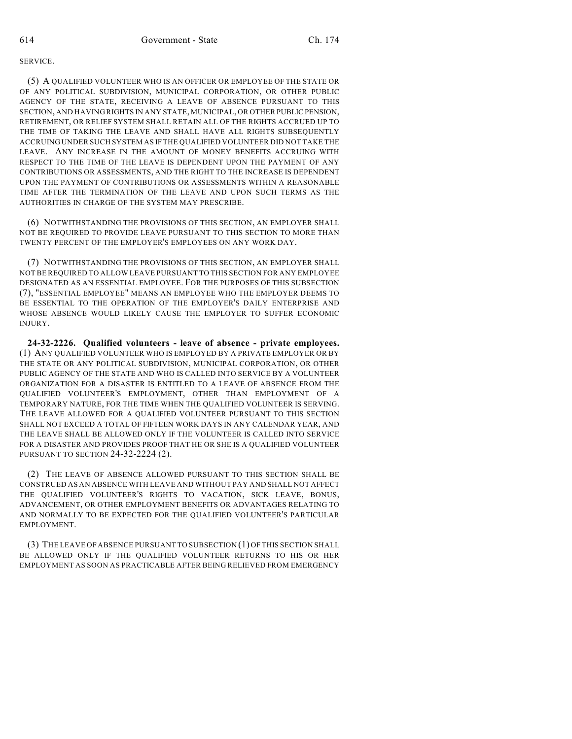## SERVICE.

(5) A QUALIFIED VOLUNTEER WHO IS AN OFFICER OR EMPLOYEE OF THE STATE OR OF ANY POLITICAL SUBDIVISION, MUNICIPAL CORPORATION, OR OTHER PUBLIC AGENCY OF THE STATE, RECEIVING A LEAVE OF ABSENCE PURSUANT TO THIS SECTION, AND HAVING RIGHTS IN ANY STATE, MUNICIPAL, OR OTHER PUBLIC PENSION, RETIREMENT, OR RELIEF SYSTEM SHALL RETAIN ALL OF THE RIGHTS ACCRUED UP TO THE TIME OF TAKING THE LEAVE AND SHALL HAVE ALL RIGHTS SUBSEQUENTLY ACCRUING UNDER SUCH SYSTEM AS IF THE QUALIFIED VOLUNTEER DID NOT TAKE THE LEAVE. ANY INCREASE IN THE AMOUNT OF MONEY BENEFITS ACCRUING WITH RESPECT TO THE TIME OF THE LEAVE IS DEPENDENT UPON THE PAYMENT OF ANY CONTRIBUTIONS OR ASSESSMENTS, AND THE RIGHT TO THE INCREASE IS DEPENDENT UPON THE PAYMENT OF CONTRIBUTIONS OR ASSESSMENTS WITHIN A REASONABLE TIME AFTER THE TERMINATION OF THE LEAVE AND UPON SUCH TERMS AS THE AUTHORITIES IN CHARGE OF THE SYSTEM MAY PRESCRIBE.

(6) NOTWITHSTANDING THE PROVISIONS OF THIS SECTION, AN EMPLOYER SHALL NOT BE REQUIRED TO PROVIDE LEAVE PURSUANT TO THIS SECTION TO MORE THAN TWENTY PERCENT OF THE EMPLOYER'S EMPLOYEES ON ANY WORK DAY.

(7) NOTWITHSTANDING THE PROVISIONS OF THIS SECTION, AN EMPLOYER SHALL NOT BE REQUIRED TO ALLOW LEAVE PURSUANT TO THIS SECTION FOR ANY EMPLOYEE DESIGNATED AS AN ESSENTIAL EMPLOYEE. FOR THE PURPOSES OF THIS SUBSECTION (7), "ESSENTIAL EMPLOYEE" MEANS AN EMPLOYEE WHO THE EMPLOYER DEEMS TO BE ESSENTIAL TO THE OPERATION OF THE EMPLOYER'S DAILY ENTERPRISE AND WHOSE ABSENCE WOULD LIKELY CAUSE THE EMPLOYER TO SUFFER ECONOMIC INJURY.

**24-32-2226. Qualified volunteers - leave of absence - private employees.** (1) ANY QUALIFIED VOLUNTEER WHO IS EMPLOYED BY A PRIVATE EMPLOYER OR BY THE STATE OR ANY POLITICAL SUBDIVISION, MUNICIPAL CORPORATION, OR OTHER PUBLIC AGENCY OF THE STATE AND WHO IS CALLED INTO SERVICE BY A VOLUNTEER ORGANIZATION FOR A DISASTER IS ENTITLED TO A LEAVE OF ABSENCE FROM THE QUALIFIED VOLUNTEER'S EMPLOYMENT, OTHER THAN EMPLOYMENT OF A TEMPORARY NATURE, FOR THE TIME WHEN THE QUALIFIED VOLUNTEER IS SERVING. THE LEAVE ALLOWED FOR A QUALIFIED VOLUNTEER PURSUANT TO THIS SECTION SHALL NOT EXCEED A TOTAL OF FIFTEEN WORK DAYS IN ANY CALENDAR YEAR, AND THE LEAVE SHALL BE ALLOWED ONLY IF THE VOLUNTEER IS CALLED INTO SERVICE FOR A DISASTER AND PROVIDES PROOF THAT HE OR SHE IS A QUALIFIED VOLUNTEER PURSUANT TO SECTION 24-32-2224 (2).

(2) THE LEAVE OF ABSENCE ALLOWED PURSUANT TO THIS SECTION SHALL BE CONSTRUED AS AN ABSENCE WITH LEAVE AND WITHOUT PAY AND SHALL NOT AFFECT THE QUALIFIED VOLUNTEER'S RIGHTS TO VACATION, SICK LEAVE, BONUS, ADVANCEMENT, OR OTHER EMPLOYMENT BENEFITS OR ADVANTAGES RELATING TO AND NORMALLY TO BE EXPECTED FOR THE QUALIFIED VOLUNTEER'S PARTICULAR EMPLOYMENT.

(3) THE LEAVE OF ABSENCE PURSUANT TO SUBSECTION (1) OF THIS SECTION SHALL BE ALLOWED ONLY IF THE QUALIFIED VOLUNTEER RETURNS TO HIS OR HER EMPLOYMENT AS SOON AS PRACTICABLE AFTER BEING RELIEVED FROM EMERGENCY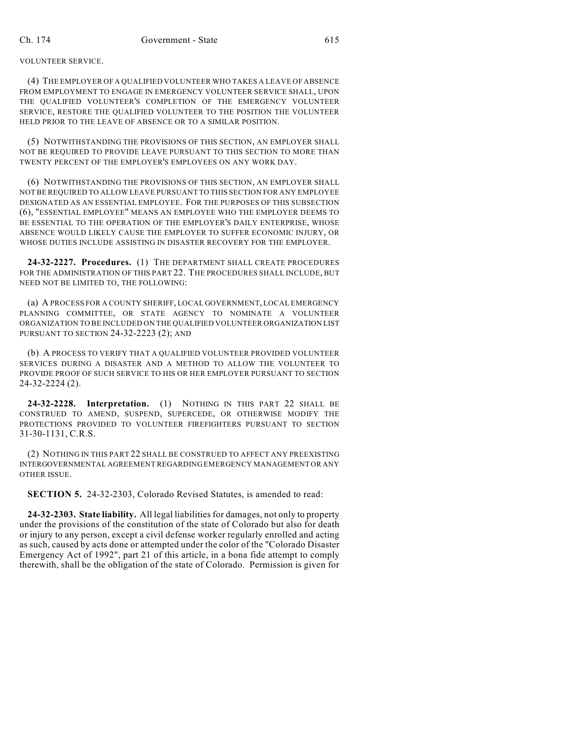VOLUNTEER SERVICE.

(4) THE EMPLOYER OF A QUALIFIED VOLUNTEER WHO TAKES A LEAVE OF ABSENCE FROM EMPLOYMENT TO ENGAGE IN EMERGENCY VOLUNTEER SERVICE SHALL, UPON THE QUALIFIED VOLUNTEER'S COMPLETION OF THE EMERGENCY VOLUNTEER SERVICE, RESTORE THE QUALIFIED VOLUNTEER TO THE POSITION THE VOLUNTEER HELD PRIOR TO THE LEAVE OF ABSENCE OR TO A SIMILAR POSITION.

(5) NOTWITHSTANDING THE PROVISIONS OF THIS SECTION, AN EMPLOYER SHALL NOT BE REQUIRED TO PROVIDE LEAVE PURSUANT TO THIS SECTION TO MORE THAN TWENTY PERCENT OF THE EMPLOYER'S EMPLOYEES ON ANY WORK DAY.

(6) NOTWITHSTANDING THE PROVISIONS OF THIS SECTION, AN EMPLOYER SHALL NOT BE REQUIRED TO ALLOW LEAVE PURSUANT TO THIS SECTION FOR ANY EMPLOYEE DESIGNATED AS AN ESSENTIAL EMPLOYEE. FOR THE PURPOSES OF THIS SUBSECTION (6), "ESSENTIAL EMPLOYEE" MEANS AN EMPLOYEE WHO THE EMPLOYER DEEMS TO BE ESSENTIAL TO THE OPERATION OF THE EMPLOYER'S DAILY ENTERPRISE, WHOSE ABSENCE WOULD LIKELY CAUSE THE EMPLOYER TO SUFFER ECONOMIC INJURY, OR WHOSE DUTIES INCLUDE ASSISTING IN DISASTER RECOVERY FOR THE EMPLOYER.

**24-32-2227. Procedures.** (1) THE DEPARTMENT SHALL CREATE PROCEDURES FOR THE ADMINISTRATION OF THIS PART 22. THE PROCEDURES SHALL INCLUDE, BUT NEED NOT BE LIMITED TO, THE FOLLOWING:

(a) A PROCESS FOR A COUNTY SHERIFF, LOCAL GOVERNMENT, LOCAL EMERGENCY PLANNING COMMITTEE, OR STATE AGENCY TO NOMINATE A VOLUNTEER ORGANIZATION TO BE INCLUDED ON THE QUALIFIED VOLUNTEER ORGANIZATION LIST PURSUANT TO SECTION 24-32-2223 (2); AND

(b) A PROCESS TO VERIFY THAT A QUALIFIED VOLUNTEER PROVIDED VOLUNTEER SERVICES DURING A DISASTER AND A METHOD TO ALLOW THE VOLUNTEER TO PROVIDE PROOF OF SUCH SERVICE TO HIS OR HER EMPLOYER PURSUANT TO SECTION 24-32-2224 (2).

**24-32-2228. Interpretation.** (1) NOTHING IN THIS PART 22 SHALL BE CONSTRUED TO AMEND, SUSPEND, SUPERCEDE, OR OTHERWISE MODIFY THE PROTECTIONS PROVIDED TO VOLUNTEER FIREFIGHTERS PURSUANT TO SECTION 31-30-1131, C.R.S.

(2) NOTHING IN THIS PART 22 SHALL BE CONSTRUED TO AFFECT ANY PREEXISTING INTERGOVERNMENTAL AGREEMENT REGARDING EMERGENCY MANAGEMENT OR ANY OTHER ISSUE.

**SECTION 5.** 24-32-2303, Colorado Revised Statutes, is amended to read:

**24-32-2303. State liability.** All legal liabilities for damages, not only to property under the provisions of the constitution of the state of Colorado but also for death or injury to any person, except a civil defense worker regularly enrolled and acting as such, caused by acts done or attempted under the color of the "Colorado Disaster Emergency Act of 1992", part 21 of this article, in a bona fide attempt to comply therewith, shall be the obligation of the state of Colorado. Permission is given for